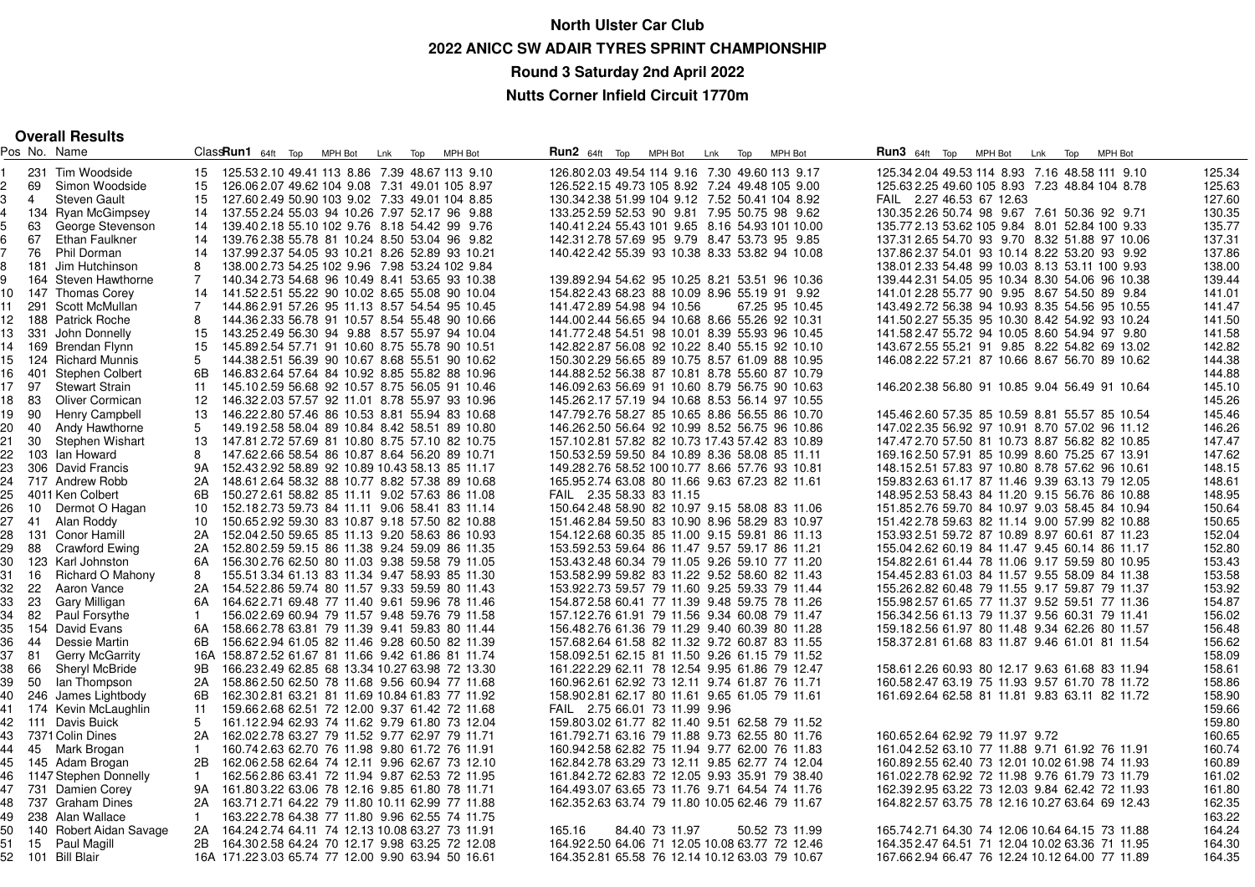## **North Ulster Car Club 2022 ANICC SW ADAIR TYRES SPRINT CHAMPIONSHIPRound 3 Saturday 2nd April 2022**

**Nutts Corner Infield Circuit 1770m**

|  | <b>Overall Results</b> |  |
|--|------------------------|--|
|--|------------------------|--|

|       |      | Pos No. Name                      |                | $Class$ <b>Run1</b> $64ft$ Top                     | MPH Bot | Lnk Top | MPH Bot                                         | <b>Run2</b> $64ft$ Top                         | MPH Bot        | Lnk Top | <b>MPH Bot</b>                                  |  | <b>Run3</b> 64ft Top MPH Bot | Lnk Top                                         | <b>MPH Bot</b> |        |
|-------|------|-----------------------------------|----------------|----------------------------------------------------|---------|---------|-------------------------------------------------|------------------------------------------------|----------------|---------|-------------------------------------------------|--|------------------------------|-------------------------------------------------|----------------|--------|
|       |      | 231 Tim Woodside                  | 15             | 125.53 2.10 49.41 113 8.86 7.39 48.67 113 9.10     |         |         |                                                 | 126.80 2.03 49.54 114 9.16 7.30 49.60 113 9.17 |                |         |                                                 |  |                              | 125.34 2.04 49.53 114 8.93 7.16 48.58 111 9.10  |                | 125.34 |
|       | 69   | Simon Woodside                    | 15             | 126.06 2.07 49.62 104 9.08 7.31 49.01 105 8.97     |         |         |                                                 | 126.52 2.15 49.73 105 8.92 7.24 49.48 105 9.00 |                |         |                                                 |  |                              | 125.63 2.25 49.60 105 8.93 7.23 48.84 104 8.78  |                | 125.63 |
|       | 4    | <b>Steven Gault</b>               | 15             | 127.60 2.49 50.90 103 9.02 7.33 49.01 104 8.85     |         |         |                                                 |                                                |                |         | 130.34 2.38 51.99 104 9.12 7.52 50.41 104 8.92  |  | FAIL 2.27 46.53 67 12.63     |                                                 |                | 127.60 |
|       |      | 134 Ryan McGimpsey                | 14             | 137.55 2.24 55.03 94 10.26 7.97 52.17 96 9.88      |         |         |                                                 |                                                |                |         | 133.252.59 52.53 90 9.81 7.95 50.75 98 9.62     |  |                              | 130.35 2.26 50.74 98 9.67 7.61 50.36 92 9.71    |                | 130.35 |
|       | 63   | George Stevenson                  | 14             | 139.40 2.18 55.10 102 9.76 8.18 54.42 99 9.76      |         |         |                                                 |                                                |                |         | 140.41 2.24 55.43 101 9.65 8.16 54.93 101 10.00 |  |                              | 135.77 2.13 53.62 105 9.84 8.01 52.84 100 9.33  |                | 135.77 |
|       | 67   | Ethan Faulkner                    | 14             |                                                    |         |         | 139.762.38 55.78 81 10.24 8.50 53.04 96 9.82    |                                                |                |         | 142.31 2.78 57.69 95 9.79 8.47 53.73 95 9.85    |  |                              | 137.31 2.65 54.70 93 9.70 8.32 51.88 97 10.06   |                | 137.31 |
|       | 76   |                                   | 14             |                                                    |         |         |                                                 |                                                |                |         |                                                 |  |                              |                                                 |                | 137.86 |
|       |      | Phil Dorman<br>181 Jim Hutchinson | 8              |                                                    |         |         | 137.99 2.37 54.05 93 10.21 8.26 52.89 93 10.21  |                                                |                |         | 140.422.42 55.39 93 10.38 8.33 53.82 94 10.08   |  |                              | 137.86 2.37 54.01 93 10.14 8.22 53.20 93 9.92   |                | 138.00 |
|       |      |                                   |                |                                                    |         |         | 138.00 2.73 54.25 102 9.96 7.98 53.24 102 9.84  |                                                |                |         |                                                 |  |                              | 138.01 2.33 54.48 99 10.03 8.13 53.11 100 9.93  |                |        |
|       |      | 164 Steven Hawthorne              | $\overline{7}$ |                                                    |         |         | 140.34 2.73 54.68 96 10.49 8.41 53.65 93 10.38  |                                                |                |         | 139.892.94 54.62 95 10.25 8.21 53.51 96 10.36   |  |                              | 139.44 2.31 54.05 95 10.34 8.30 54.06 96 10.38  |                | 139.44 |
| 10.   |      | 147 Thomas Corey                  | 14             | 141.522.51 55.22 90 10.02 8.65 55.08 90 10.04      |         |         |                                                 |                                                |                |         | 154.822.43 68.23 88 10.09 8.96 55.19 91 9.92    |  |                              | 141.01 2.28 55.77 90 9.95 8.67 54.50 89 9.84    |                | 141.01 |
| 11    |      | 291 Scott McMullan                | $\overline{7}$ |                                                    |         |         | 144.86 2.91 57.26 95 11.13 8.57 54.54 95 10.45  | 141.472.89 54.98 94 10.56                      |                |         | 67.25 95 10.45                                  |  |                              | 143.49 2.72 56.38 94 10.93 8.35 54.56 95 10.55  |                | 141.47 |
| 12    |      | 188 Patrick Roche                 | 8              |                                                    |         |         | 144.36 2.33 56.78 91 10.57 8.54 55.48 90 10.66  |                                                |                |         | 144.002.44 56.65 94 10.68 8.66 55.26 92 10.31   |  |                              | 141.50 2.27 55.35 95 10.30 8.42 54.92 93 10.24  |                | 141.50 |
| 13    |      | 331 John Donnelly                 | 15             | 143.25 2.49 56.30 94 9.88 8.57 55.97 94 10.04      |         |         |                                                 |                                                |                |         | 141.772.48 54.51 98 10.01 8.39 55.93 96 10.45   |  |                              | 141.58 2.47 55.72 94 10.05 8.60 54.94 97 9.80   |                | 141.58 |
|       |      | 14 169 Brendan Flynn              | 15             |                                                    |         |         | 145.89 2.54 57.71 91 10.60 8.75 55.78 90 10.51  |                                                |                |         | 142.822.87 56.08 92 10.22 8.40 55.15 92 10.10   |  |                              | 143.67 2.55 55.21 91 9.85 8.22 54.82 69 13.02   |                | 142.82 |
| 15.   |      | 124 Richard Munnis                | 5              |                                                    |         |         | 144.382.51 56.39 90 10.67 8.68 55.51 90 10.62   |                                                |                |         | 150.302.29 56.65 89 10.75 8.57 61.09 88 10.95   |  |                              | 146.08 2.22 57.21 87 10.66 8.67 56.70 89 10.62  |                | 144.38 |
| 6     | 401  | Stephen Colbert                   | 6B             |                                                    |         |         | 146.83 2.64 57.64 84 10.92 8.85 55.82 88 10.96  |                                                |                |         | 144.882.52 56.38 87 10.81 8.78 55.60 87 10.79   |  |                              |                                                 |                | 144.88 |
| 17 97 |      | <b>Stewart Strain</b>             | 11             |                                                    |         |         | 145.102.59 56.68 92 10.57 8.75 56.05 91 10.46   |                                                |                |         | 146.092.63 56.69 91 10.60 8.79 56.75 90 10.63   |  |                              | 146.202.38 56.80 91 10.85 9.04 56.49 91 10.64   |                | 145.10 |
| 18 83 |      | Oliver Cormican                   | 12             |                                                    |         |         | 146.32 2.03 57.57 92 11.01 8.78 55.97 93 10.96  |                                                |                |         | 145.262.17 57.19 94 10.68 8.53 56.14 97 10.55   |  |                              |                                                 |                | 145.26 |
| 19 90 |      | <b>Henry Campbell</b>             | 13             |                                                    |         |         | 146.222.80 57.46 86 10.53 8.81 55.94 83 10.68   |                                                |                |         | 147.792.76 58.27 85 10.65 8.86 56.55 86 10.70   |  |                              | 145.46 2.60 57.35 85 10.59 8.81 55.57 85 10.54  |                | 145.46 |
| 20    | -40  | Andy Hawthorne                    | 5              |                                                    |         |         | 149.192.58 58.04 89 10.84 8.42 58.51 89 10.80   |                                                |                |         | 146.262.50 56.64 92 10.99 8.52 56.75 96 10.86   |  |                              | 147.02 2.35 56.92 97 10.91 8.70 57.02 96 11.12  |                | 146.26 |
| 21    | 30   | Stephen Wishart                   | 13             |                                                    |         |         | 147.81 2.72 57.69 81 10.80 8.75 57.10 82 10.75  |                                                |                |         | 157.102.81 57.82 82 10.73 17.43 57.42 83 10.89  |  |                              | 147.47 2.70 57.50 81 10.73 8.87 56.82 82 10.85  |                | 147.47 |
| 22    |      | 103 Ian Howard                    | 8              |                                                    |         |         | 147.62 2.66 58.54 86 10.87 8.64 56.20 89 10.71  |                                                |                |         | 150.532.59 59.50 84 10.89 8.36 58.08 85 11.11   |  |                              | 169.162.50 57.91 85 10.99 8.60 75.25 67 13.91   |                | 147.62 |
| 23    |      | 306 David Francis                 | 9A             | 152.43 2.92 58.89 92 10.89 10.43 58.13 85 11.17    |         |         |                                                 |                                                |                |         | 149.282.76 58.52 100 10.77 8.66 57.76 93 10.81  |  |                              | 148.152.51 57.83 97 10.80 8.78 57.62 96 10.61   |                | 148.15 |
| 24    |      | 717 Andrew Robb                   | 2A             |                                                    |         |         | 148.61 2.64 58.32 88 10.77 8.82 57.38 89 10.68  |                                                |                |         | 165.952.74 63.08 80 11.66 9.63 67.23 82 11.61   |  |                              | 159.83 2.63 61.17 87 11.46 9.39 63.13 79 12.05  |                | 148.61 |
| 25    |      | 4011 Ken Colbert                  | 6B             |                                                    |         |         | 150.27 2.61 58.82 85 11.11 9.02 57.63 86 11.08  | FAIL 2.35 58.33 83 11.15                       |                |         |                                                 |  |                              | 148.95 2.53 58.43 84 11.20 9.15 56.76 86 10.88  |                | 148.95 |
| 26    | 10   | Dermot O Hagan                    | 10             | 152.182.73 59.73 84 11.11 9.06 58.41 83 11.14      |         |         |                                                 |                                                |                |         | 150.642.48 58.90 82 10.97 9.15 58.08 83 11.06   |  |                              | 151.852.76 59.70 84 10.97 9.03 58.45 84 10.94   |                | 150.64 |
| 27    |      | 41 Alan Roddy                     | 10             |                                                    |         |         | 150.65 2.92 59.30 83 10.87 9.18 57.50 82 10.88  |                                                |                |         | 151.462.84 59.50 83 10.90 8.96 58.29 83 10.97   |  |                              | 151.422.78 59.63 82 11.14 9.00 57.99 82 10.88   |                | 150.65 |
| 28    |      | 131 Conor Hamill                  | 2A             | 152.04 2.50 59.65 85 11.13 9.20 58.63 86 10.93     |         |         |                                                 |                                                |                |         | 154.122.68 60.35 85 11.00 9.15 59.81 86 11.13   |  |                              | 153.93 2.51 59.72 87 10.89 8.97 60.61 87 11.23  |                | 152.04 |
| 29    |      | 88 Crawford Ewing                 | 2A             | 152.80 2.59 59.15 86 11.38 9.24 59.09 86 11.35     |         |         |                                                 |                                                |                |         | 153.592.53 59.64 86 11.47 9.57 59.17 86 11.21   |  |                              | 155.04 2.62 60.19 84 11.47 9.45 60.14 86 11.17  |                | 152.80 |
| 30    |      | 123 Karl Johnston                 | 6A             | 156.30 2.76 62.50 80 11.03 9.38 59.58 79 11.05     |         |         |                                                 |                                                |                |         | 153.432.48 60.34 79 11.05 9.26 59.10 77 11.20   |  |                              | 154.822.61 61.44 78 11.06 9.17 59.59 80 10.95   |                | 153.43 |
| 31    | 16   | Richard O Mahony                  | 8              |                                                    |         |         | 155.51 3.34 61.13 83 11.34 9.47 58.93 85 11.30  |                                                |                |         | 153.582.99 59.82 83 11.22 9.52 58.60 82 11.43   |  |                              | 154.45 2.83 61.03 84 11.57 9.55 58.09 84 11.38  |                | 153.58 |
| 32    | - 22 | Aaron Vance                       | 2A             | 154.522.86 59.74 80 11.57 9.33 59.59 80 11.43      |         |         |                                                 |                                                |                |         | 153.92 2.73 59.57 79 11.60 9.25 59.33 79 11.44  |  |                              | 155.26 2.82 60.48 79 11.55 9.17 59.87 79 11.37  |                | 153.92 |
| 33    | -23  | Gary Milligan                     | 6A             | 164.622.71 69.48 77 11.40 9.61 59.96 78 11.46      |         |         |                                                 |                                                |                |         | 154.872.58 60.41 77 11.39 9.48 59.75 78 11.26   |  |                              | 155.98 2.57 61.65 77 11.37 9.52 59.51 77 11.36  |                | 154.87 |
| 34    | 82   | Paul Forsythe                     | $\mathbf{1}$   |                                                    |         |         | 156.02 2.69 60.94 79 11.57 9.48 59.76 79 11.58  |                                                |                |         | 157.122.76 61.91 79 11.56 9.34 60.08 79 11.47   |  |                              | 156.34 2.56 61.13 79 11.37 9.56 60.31 79 11.41  |                | 156.02 |
| 35    |      | 154 David Evans                   | 6A             | 158.66 2.78 63.81 79 11.39 9.41 59.83 80 11.44     |         |         |                                                 |                                                |                |         | 156.482.76 61.36 79 11.29 9.40 60.39 80 11.28   |  |                              | 159.182.56 61.97 80 11.48 9.34 62.26 80 11.57   |                | 156.48 |
| 36    | 44   | Dessie Martin                     | 6B.            | 156.62 2.94 61.05 82 11.46 9.28 60.50 82 11.39     |         |         |                                                 |                                                |                |         | 157.68 2.64 61.58 82 11.32 9.72 60.87 83 11.55  |  |                              | 158.372.81 61.68 83 11.87 9.46 61.01 81 11.54   |                | 156.62 |
| 37    | -81  | <b>Gerry McGarrity</b>            |                | 16A 158.872.52 61.67 81 11.66 9.42 61.86 81 11.74  |         |         |                                                 |                                                |                |         | 158.092.51 62.15 81 11.50 9.26 61.15 79 11.52   |  |                              |                                                 |                | 158.09 |
| 38    | - 66 | <b>Sheryl McBride</b>             | 9Β             |                                                    |         |         | 166.23 2.49 62.85 68 13.34 10.27 63.98 72 13.30 |                                                |                |         | 161.222.29 62.11 78 12.54 9.95 61.86 79 12.47   |  |                              | 158.61 2.26 60.93 80 12.17 9.63 61.68 83 11.94  |                | 158.61 |
| 39    | 50   | lan Thompson                      | 2A             |                                                    |         |         | 158.862.50 62.50 78 11.68 9.56 60.94 77 11.68   |                                                |                |         | 160.962.61 62.92 73 12.11 9.74 61.87 76 11.71   |  |                              | 160.58 2.47 63.19 75 11.93 9.57 61.70 78 11.72  |                | 158.86 |
| 40    |      | 246 James Lightbody               | 6B             | 162.30 2.81 63.21 81 11.69 10.84 61.83 77 11.92    |         |         |                                                 |                                                |                |         | 158.902.81 62.17 80 11.61 9.65 61.05 79 11.61   |  |                              | 161.692.64 62.58 81 11.81 9.83 63.11 82 11.72   |                | 158.90 |
|       |      | 41 174 Kevin McLaughlin           | 11             |                                                    |         |         | 159.66 2.68 62.51 72 12.00 9.37 61.42 72 11.68  | FAIL 2.75 66.01 73 11.99 9.96                  |                |         |                                                 |  |                              |                                                 |                | 159.66 |
|       |      |                                   | 5              |                                                    |         |         |                                                 |                                                |                |         |                                                 |  |                              |                                                 |                |        |
|       |      | 42 111 Davis Buick                |                |                                                    |         |         | 161.122.94 62.93 74 11.62 9.79 61.80 73 12.04   |                                                |                |         | 159.803.02 61.77 82 11.40 9.51 62.58 79 11.52   |  |                              |                                                 |                | 159.80 |
| 43    |      | 7371 Colin Dines                  | 2A             | 162.02 2.78 63.27 79 11.52 9.77 62.97 79 11.71     |         |         |                                                 |                                                |                |         | 161.792.71 63.16 79 11.88 9.73 62.55 80 11.76   |  |                              | 160.65 2.64 62.92 79 11.97 9.72                 |                | 160.65 |
| 44    |      | 45 Mark Brogan                    | $\mathbf{1}$   |                                                    |         |         | 160.74 2.63 62.70 76 11.98 9.80 61.72 76 11.91  |                                                |                |         | 160.94 2.58 62.82 75 11.94 9.77 62.00 76 11.83  |  |                              | 161.04 2.52 63.10 77 11.88 9.71 61.92 76 11.91  |                | 160.74 |
| 45    |      | 145 Adam Brogan                   | 2B             |                                                    |         |         | 162.06 2.58 62.64 74 12.11 9.96 62.67 73 12.10  |                                                |                |         | 162.84 2.78 63.29 73 12.11 9.85 62.77 74 12.04  |  |                              | 160.89 2.55 62.40 73 12.01 10.02 61.98 74 11.93 |                | 160.89 |
| 46    |      | 1147 Stephen Donnelly             | -1             |                                                    |         |         | 162.56 2.86 63.41 72 11.94 9.87 62.53 72 11.95  |                                                |                |         | 161.84 2.72 62.83 72 12.05 9.93 35.91 79 38.40  |  |                              | 161.022.78 62.92 72 11.98 9.76 61.79 73 11.79   |                | 161.02 |
| 47    |      | 731 Damien Corey                  |                | 9A 161.803.22 63.06 78 12.16 9.85 61.80 78 11.71   |         |         |                                                 |                                                |                |         | 164.493.07 63.65 73 11.76 9.71 64.54 74 11.76   |  |                              | 162.39 2.95 63.22 73 12.03 9.84 62.42 72 11.93  |                | 161.80 |
|       |      | 48 737 Graham Dines               | 2A             | 163.71 2.71 64.22 79 11.80 10.11 62.99 77 11.88    |         |         |                                                 |                                                |                |         | 162.352.63 63.74 79 11.80 10.05 62.46 79 11.67  |  |                              | 164.82 2.57 63.75 78 12.16 10.27 63.64 69 12.43 |                | 162.35 |
| 49    |      | 238 Alan Wallace                  | $\mathbf{1}$   |                                                    |         |         | 163.22 2.78 64.38 77 11.80 9.96 62.55 74 11.75  |                                                |                |         |                                                 |  |                              |                                                 |                | 163.22 |
| 50    |      | 140 Robert Aidan Savage           | 2A             | 164.24 2.74 64.11 74 12.13 10.08 63.27 73 11.91    |         |         |                                                 | 165.16                                         | 84.40 73 11.97 |         | 50.52 73 11.99                                  |  |                              | 165.74 2.71 64.30 74 12.06 10.64 64.15 73 11.88 |                | 164.24 |
| 51    | 15   | Paul Magill                       | 2B             |                                                    |         |         | 164.30 2.58 64.24 70 12.17 9.98 63.25 72 12.08  |                                                |                |         | 164.92 2.50 64.06 71 12.05 10.08 63.77 72 12.46 |  |                              | 164.35 2.47 64.51 71 12.04 10.02 63.36 71 11.95 |                | 164.30 |
|       |      | 52 101 Bill Blair                 |                | 16A 171.22 3.03 65.74 77 12.00 9.90 63.94 50 16.61 |         |         |                                                 |                                                |                |         | 164.352.81 65.58 76 12.14 10.12 63.03 79 10.67  |  |                              | 167.66 2.94 66.47 76 12.24 10.12 64.00 77 11.89 |                | 164.35 |
|       |      |                                   |                |                                                    |         |         |                                                 |                                                |                |         |                                                 |  |                              |                                                 |                |        |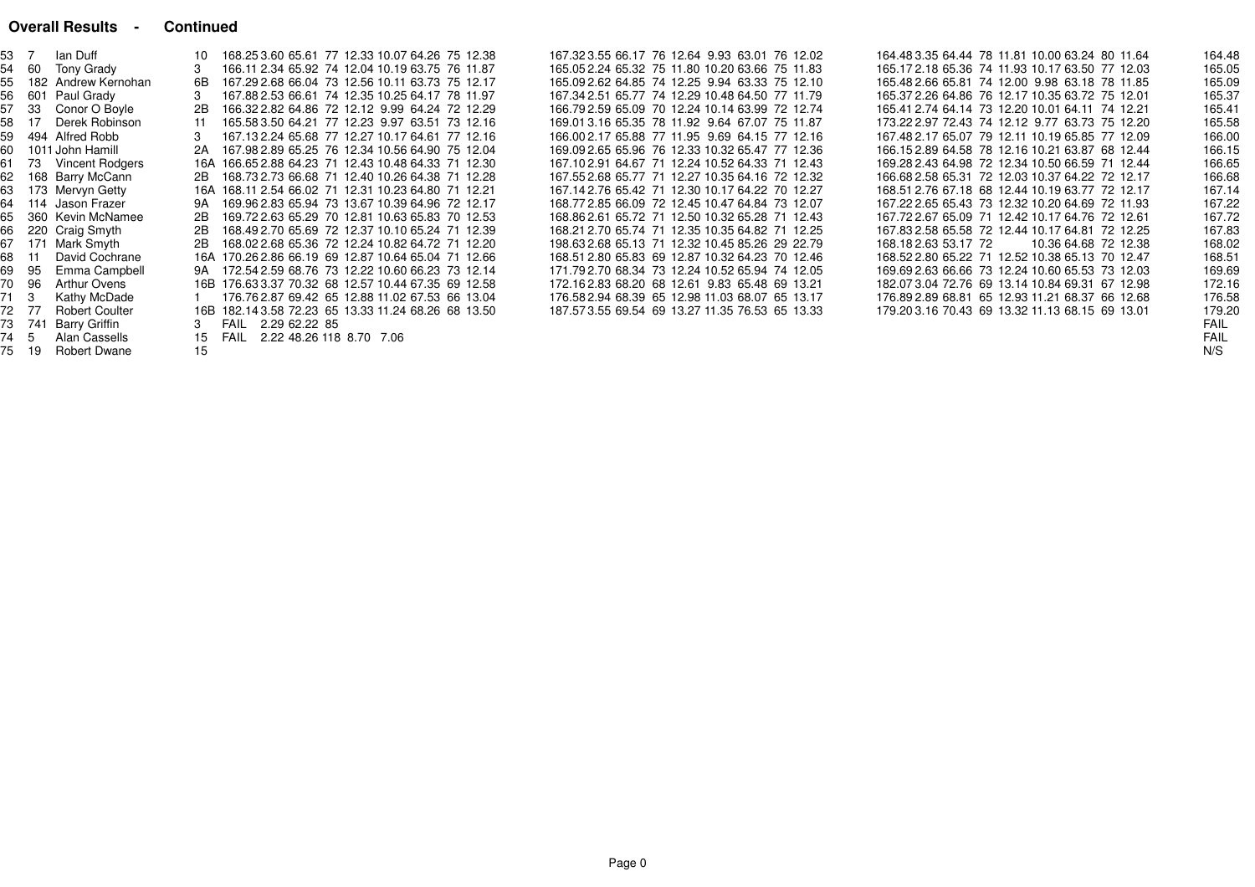#### **Overall Results - Continued**

| 53 7 |       | lan Duff              |    | 168.25 3.60 65.61 77 12.33 10.07 64.26 75 12.38     |                                                 | 167.323.55 66.17 76 12.64 9.93 63.01 76 12.02   |  | 164.483.35 64.44 78 11.81 10.00 63.24 80 11.64  |                      | 164.48 |
|------|-------|-----------------------|----|-----------------------------------------------------|-------------------------------------------------|-------------------------------------------------|--|-------------------------------------------------|----------------------|--------|
| 54   | 60    | Tony Grady            |    |                                                     | 166.11 2.34 65.92 74 12.04 10.19 63.75 76 11.87 | 165.05 2.24 65.32 75 11.80 10.20 63.66 75 11.83 |  | 165.172.18 65.36 74 11.93 10.17 63.50 77 12.03  |                      | 165.05 |
| 55   |       | 182 Andrew Kernohan   | 6B |                                                     | 167.29 2.68 66.04 73 12.56 10.11 63.73 75 12.17 | 165.09 2.62 64.85 74 12.25 9.94 63.33 75 12.10  |  | 165.48 2.66 65.81 74 12.00 9.98 63.18 78 11.85  |                      | 165.09 |
| 56   |       | 601 Paul Grady        |    |                                                     | 167.88 2.53 66.61 74 12.35 10.25 64.17 78 11.97 | 167.34 2.51 65.77 74 12.29 10.48 64.50 77 11.79 |  | 165.37 2.26 64.86 76 12.17 10.35 63.72 75 12.01 |                      | 165.37 |
| 57   | 33    | Conor O Boyle         | 2B |                                                     | 166.32 2.82 64.86 72 12.12 9.99 64.24 72 12.29  | 166.792.59 65.09 70 12.24 10.14 63.99 72 12.74  |  | 165.41 2.74 64.14 73 12.20 10.01 64.11 74 12.21 |                      | 165.41 |
| 58   | 17    | Derek Robinson        |    |                                                     | 165.583.50 64.21 77 12.23 9.97 63.51 73 12.16   | 169.01 3.16 65.35 78 11.92 9.64 67.07 75 11.87  |  | 173.22 2.97 72.43 74 12.12 9.77 63.73 75 12.20  |                      | 165.58 |
| 59   |       | 494 Alfred Robb       |    |                                                     | 167.13 2.24 65.68 77 12.27 10.17 64.61 77 12.16 | 166.002.17 65.88 77 11.95 9.69 64.15 77 12.16   |  | 167.48 2.17 65.07 79 12.11 10.19 65.85 77 12.09 |                      | 166.00 |
| 60.  |       | 1011 John Hamill      | 2A | 167.98 2.89 65.25 76 12.34 10.56 64.90 75 12.04     |                                                 | 169.09 2.65 65.96 76 12.33 10.32 65.47 77 12.36 |  | 166.15 2.89 64.58 78 12.16 10.21 63.87 68 12.44 |                      | 166.15 |
| 61   | 73    | Vincent Rodgers       |    | 16A 166.65 2.88 64.23 71 12.43 10.48 64.33 71 12.30 |                                                 | 167.102.91 64.67 71 12.24 10.52 64.33 71 12.43  |  | 169.28 2.43 64.98 72 12.34 10.50 66.59 71 12.44 |                      | 166.65 |
| 62   |       | 168 Barry McCann      | 2B | 168.73 2.73 66.68 71 12.40 10.26 64.38 71 12.28     |                                                 | 167.552.68 65.77 71 12.27 10.35 64.16 72 12.32  |  | 166.68 2.58 65.31 72 12.03 10.37 64.22 72 12.17 |                      | 166.68 |
|      |       | 173 Mervyn Getty      |    | 16A 168.11 2.54 66.02 71 12.31 10.23 64.80 71 12.21 |                                                 | 167.142.76 65.42 71 12.30 10.17 64.22 70 12.27  |  | 168.51 2.76 67.18 68 12.44 10.19 63.77 72 12.17 |                      | 167.14 |
| 64   |       | 114 Jason Frazer      | 9A | 169.96 2.83 65.94 73 13.67 10.39 64.96 72 12.17     |                                                 | 168.772.85 66.09 72 12.45 10.47 64.84 73 12.07  |  | 167.22 2.65 65.43 73 12.32 10.20 64.69 72 11.93 |                      | 167.22 |
| 65   |       | 360 Kevin McNamee     | 2B |                                                     | 169.72 2.63 65.29 70 12.81 10.63 65.83 70 12.53 | 168.862.61 65.72 71 12.50 10.32 65.28 71 12.43  |  | 167.72 2.67 65.09 71 12.42 10.17 64.76 72 12.61 |                      | 167.72 |
| 66   |       | 220 Craig Smyth       | 2B |                                                     | 168.49 2.70 65.69 72 12.37 10.10 65.24 71 12.39 | 168.21 2.70 65.74 71 12.35 10.35 64.82 71 12.25 |  | 167.83 2.58 65.58 72 12.44 10.17 64.81 72 12.25 |                      | 167.83 |
| 67   |       | 171 Mark Smyth        | 2B |                                                     | 168.02 2.68 65.36 72 12.24 10.82 64.72 71 12.20 | 198.63 2.68 65.13 71 12.32 10.45 85.26 29 22.79 |  | 168.18 2.63 53.17 72                            | 10.36 64.68 72 12.38 | 168.02 |
| 68   | 11    | David Cochrane        |    | 16A 170.26 2.86 66.19 69 12.87 10.64 65.04 71 12.66 |                                                 | 168.51 2.80 65.83 69 12.87 10.32 64.23 70 12.46 |  | 168.52 2.80 65.22 71 12.52 10.38 65.13 70 12.47 |                      | 168.51 |
| 69   | 95    | Emma Campbell         |    | 9A 172.54 2.59 68.76 73 12.22 10.60 66.23 73 12.14  |                                                 | 171.792.70 68.34 73 12.24 10.52 65.94 74 12.05  |  | 169.69 2.63 66.66 73 12.24 10.60 65.53 73 12.03 |                      | 169.69 |
| 70   | 96    | Arthur Ovens          |    | 16B 176.63 3.37 70.32 68 12.57 10.44 67.35 69 12.58 |                                                 | 172.162.83 68.20 68 12.61 9.83 65.48 69 13.21   |  | 182.073.04 72.76 69 13.14 10.84 69.31 67 12.98  |                      | 172.16 |
| 71 3 |       | Kathy McDade          |    |                                                     | 176.76 2.87 69.42 65 12.88 11.02 67.53 66 13.04 | 176.582.94 68.39 65 12.98 11.03 68.07 65 13.17  |  | 176.89 2.89 68.81 65 12.93 11.21 68.37 66 12.68 |                      | 176.58 |
|      | 72 77 | <b>Robert Coulter</b> |    | 16B 182.14 3.58 72.23 65 13.33 11.24 68.26 68 13.50 |                                                 | 187.573.55 69.54 69 13.27 11.35 76.53 65 13.33  |  | 179.203.16 70.43 69 13.32 11.13 68.15 69 13.01  |                      | 179.20 |
|      | 741   | Barry Griffin         |    | FAIL 2.29 62.22 85                                  |                                                 |                                                 |  |                                                 |                      | FAIL   |
| 74 5 |       | Alan Cassells         | 15 | FAIL 2.22 48.26 118 8.70 7.06                       |                                                 |                                                 |  |                                                 |                      | FAIL   |
| 75   | 19    | Robert Dwane          | 15 |                                                     |                                                 |                                                 |  |                                                 |                      | N/S    |
|      |       |                       |    |                                                     |                                                 |                                                 |  |                                                 |                      |        |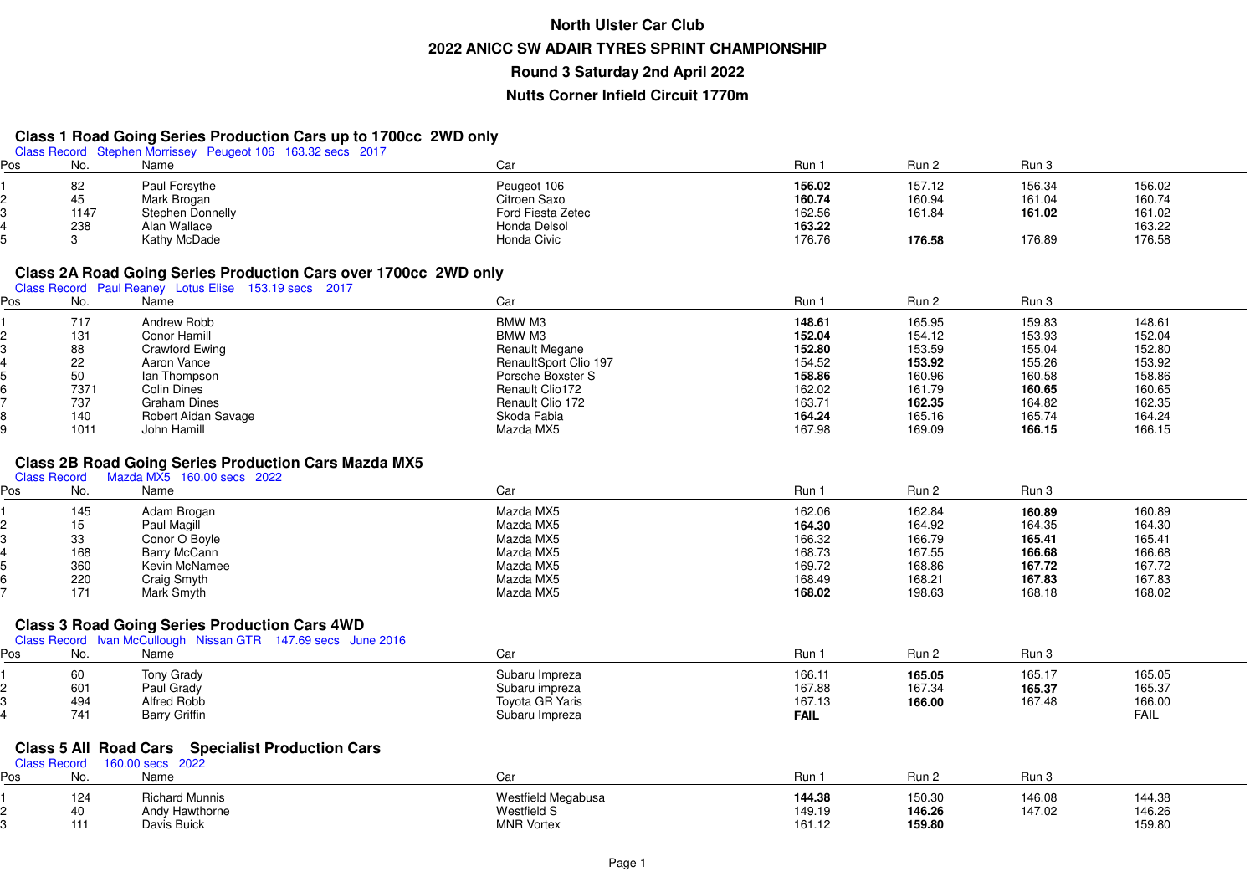# **Class 1 Road Going Series Production Cars up to 1700cc 2WD only** Class Record Stephen Morrissey Peugeot 106 163.32 secs 2017

| os' | ΙNΟ  | Name             | Car               | Run    | Run :  | Run 3  |        |
|-----|------|------------------|-------------------|--------|--------|--------|--------|
|     | 82   | Paul Forsythe    | Peugeot 106       | 156.02 | 157.12 | 156.34 | 156.02 |
|     | 45   | Mark Brogan      | Citroen Saxo      | 160.74 | 160.94 | 161.04 | 160.74 |
|     | 1147 | Stephen Donnelly | Ford Fiesta Zetec | 162.56 | 161.84 | 161.02 | 161.02 |
|     | 238  | Alan Wallace     | Honda Delsol      | 163.22 |        |        | 163.22 |
|     |      | Kathy McDade     | Honda Civic       | 176.76 | 176.58 | 176.89 | 176.58 |

# **Class 2A Road Going Series Production Cars over 1700cc 2WD only** Class Record Paul Reaney Lotus Elise 153.19 secs 2017

| Pos | No.  | Name                | Car                   | Run 1  | Run 2  | Run 3  |        |
|-----|------|---------------------|-----------------------|--------|--------|--------|--------|
|     | 717  | Andrew Robb         | BMW M3                | 148.61 | 165.95 | 159.83 | 148.61 |
|     | 131  | Conor Hamill        | BMW M3                | 152.04 | 154.12 | 153.93 | 152.04 |
|     | 88   | Crawford Ewing      | <b>Renault Megane</b> | 152.80 | 153.59 | 155.04 | 152.80 |
|     | 22   | Aaron Vance         | RenaultSport Clio 197 | 154.52 | 153.92 | 155.26 | 153.92 |
|     | 50   | lan Thompson        | Porsche Boxster S     | 158.86 | 160.96 | 160.58 | 158.86 |
|     | 7371 | Colin Dines         | Renault Clio172       | 162.02 | 161.79 | 160.65 | 160.65 |
|     | 737  | Graham Dines        | Renault Clio 172      | 163.71 | 162.35 | 164.82 | 162.35 |
|     | 140  | Robert Aidan Savage | Skoda Fabia           | 164.24 | 165.16 | 165.74 | 164.24 |
|     | 1011 | John Hamill         | Mazda MX5             | 167.98 | 169.09 | 166.15 | 166.15 |

## **Class 2B Road Going Series Production Cars Mazda MX5<br><sub>Class Record Mazda MX5 160.00 secs 2022**</sub>

|     | <b>Ulass Record</b> | <b>NICE SOLUTION IN SECTEMBLE IN SECTION</b> |           |        |        |        |        |  |
|-----|---------------------|----------------------------------------------|-----------|--------|--------|--------|--------|--|
| ∍os | No.                 | Name                                         | Car       | Run 1  | Run 2  | Run 3  |        |  |
|     | 145                 | Adam Brogan                                  | Mazda MX5 | 162.06 | 162.84 | 160.89 | 160.89 |  |
|     | 15                  | Paul Magill                                  | Mazda MX5 | 164.30 | 164.92 | 164.35 | 164.30 |  |
|     | 33                  | Conor O Boyle                                | Mazda MX5 | 166.32 | 166.79 | 165.41 | 165.41 |  |
|     | 168                 | Barry McCann                                 | Mazda MX5 | 168.73 | 167.55 | 166.68 | 166.68 |  |
|     | 360                 | Kevin McNamee                                | Mazda MX5 | 169.72 | 168.86 | 167.72 | 167.72 |  |
|     | 220                 | Craig Smyth                                  | Mazda MX5 | 168.49 | 168.21 | 167.83 | 167.83 |  |
|     | 171                 | Mark Smyth                                   | Mazda MX5 | 168.02 | 198.63 | 168.18 | 168.02 |  |
|     |                     |                                              |           |        |        |        |        |  |

#### **Class 3 Road Going Series Production Cars 4WD**

|     |                  | Class Record Ivan McCullough Nissan GTR 147.69 secs June 2016 |                                                            |                       |                  |                            |                       |  |
|-----|------------------|---------------------------------------------------------------|------------------------------------------------------------|-----------------------|------------------|----------------------------|-----------------------|--|
| Pos | No.              | Name                                                          | Car                                                        | Run                   | Run 2            | Run 3                      |                       |  |
|     | 60<br>601<br>494 | Tony Grady<br>Paul Grady                                      | Subaru Impreza<br>Subaru impreza<br><b>Toyota GR Yaris</b> | 166.11<br>167.88      | 165.05<br>167.34 | 165.17<br>165.37<br>167.48 | 165.05<br>165.37      |  |
|     | 741              | Alfred Robb<br><b>Barry Griffin</b>                           | Subaru Impreza                                             | 167.13<br><b>FAIL</b> | 166.00           |                            | 166.00<br><b>FAIL</b> |  |

#### **Class 5 All Road Cars Specialist Production Cars**

| Class Record |                  | 160.00 secs 2022                                       |                                                               |                            |                            |                  |                            |
|--------------|------------------|--------------------------------------------------------|---------------------------------------------------------------|----------------------------|----------------------------|------------------|----------------------------|
| Pos          | No.              | Name                                                   | Caı                                                           | Run                        | Run 2                      | Run :            |                            |
|              | 124<br>40<br>444 | <b>Richard Munnis</b><br>Andy Hawthorne<br>Davis Buick | Westfield Megabusa<br><b>Westfield S</b><br><b>MNR Vortex</b> | 144.38<br>149.19<br>161.12 | 150.30<br>146.26<br>159.80 | 146.08<br>147.02 | 144.38<br>146.26<br>159.80 |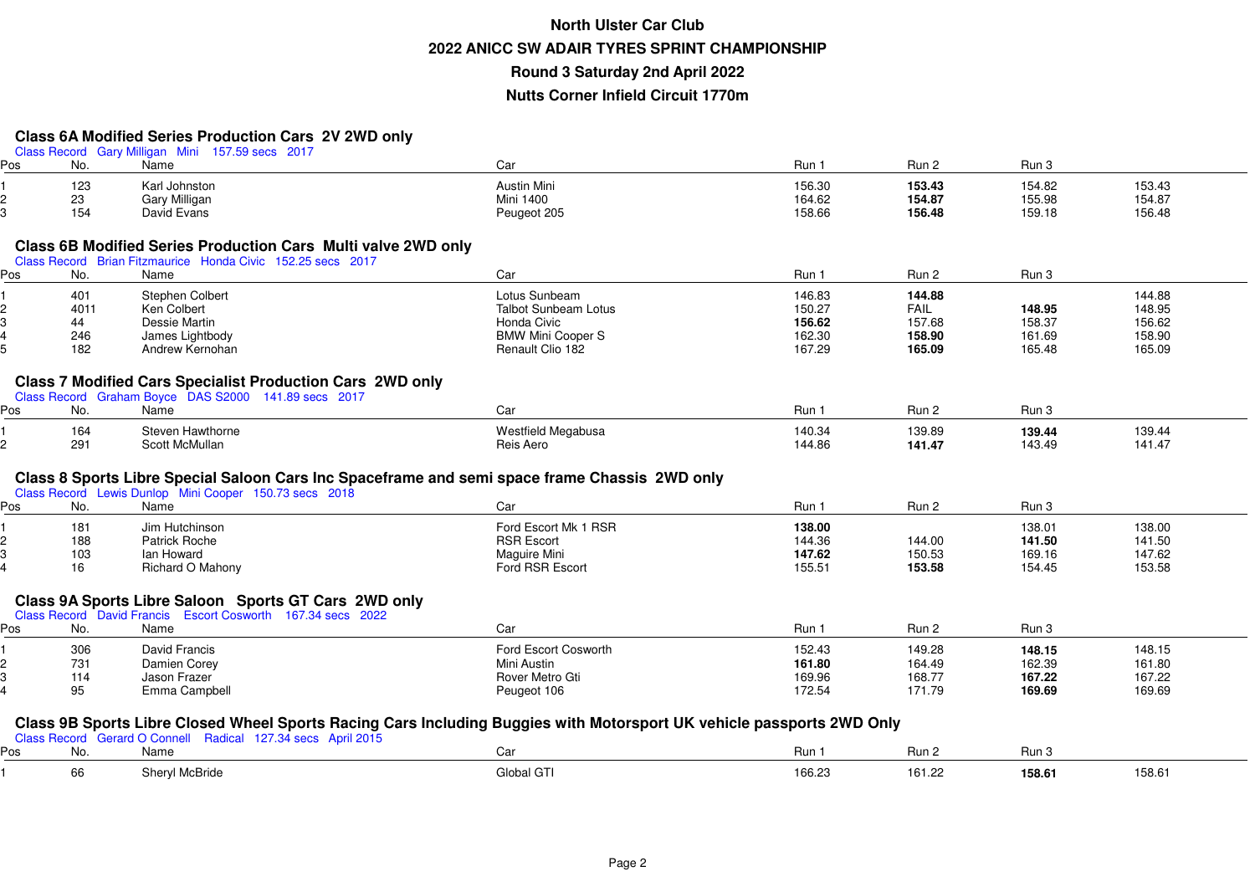### **Class 6A Modified Series Production Cars 2V 2WD only**

|     |            | Class Record Gary Milligan Mini 157.59 secs 2017                                                                                                                                              |                                        |                  |                  |                  |                  |
|-----|------------|-----------------------------------------------------------------------------------------------------------------------------------------------------------------------------------------------|----------------------------------------|------------------|------------------|------------------|------------------|
| Pos | No.        | Name                                                                                                                                                                                          | Car                                    | Run 1            | Run 2            | Run 3            |                  |
|     | 123        | Karl Johnston                                                                                                                                                                                 | <b>Austin Mini</b>                     | 156.30           | 153.43           | 154.82           | 153.43           |
|     | 23         | <b>Gary Milligan</b>                                                                                                                                                                          | <b>Mini 1400</b>                       | 164.62           | 154.87           | 155.98           | 154.87           |
|     | 154        | David Evans                                                                                                                                                                                   | Peugeot 205                            | 158.66           | 156.48           | 159.18           | 156.48           |
|     |            | <b>Class 6B Modified Series Production Cars Multi valve 2WD only</b><br>Class Record Brian Fitzmaurice Honda Civic 152.25 secs 2017                                                           |                                        |                  |                  |                  |                  |
| Pos | No.        | Name                                                                                                                                                                                          | Car                                    | Run 1            | Run 2            | Run 3            |                  |
|     | 401        | <b>Stephen Colbert</b>                                                                                                                                                                        | Lotus Sunbeam                          | 146.83           | 144.88           |                  | 144.88           |
| 2   | 4011       | Ken Colbert                                                                                                                                                                                   | <b>Talbot Sunbeam Lotus</b>            | 150.27           | FAIL             | 148.95           | 148.95           |
|     | 44         | Dessie Martin                                                                                                                                                                                 | Honda Civic                            | 156.62           | 157.68           | 158.37           | 156.62           |
|     | 246        | James Lightbody                                                                                                                                                                               | <b>BMW Mini Cooper S</b>               | 162.30           | 158.90           | 161.69           | 158.90           |
| 5   | 182        | Andrew Kernohan                                                                                                                                                                               | Renault Clio 182                       | 167.29           | 165.09           | 165.48           | 165.09           |
| Pos | No.        | <b>Class 7 Modified Cars Specialist Production Cars 2WD only</b><br>Class Record Graham Boyce DAS S2000 141.89 secs 2017<br>Name                                                              | Car                                    | Run 1            | Run 2            | Run 3            |                  |
|     |            |                                                                                                                                                                                               |                                        |                  |                  |                  |                  |
|     | 164<br>291 | Steven Hawthorne<br>Scott McMullan                                                                                                                                                            | <b>Westfield Megabusa</b><br>Reis Aero | 140.34<br>144.86 | 139.89<br>141.47 | 139.44<br>143.49 | 139.44<br>141.47 |
| Pos | No.        | Class 8 Sports Libre Special Saloon Cars Inc Spaceframe and semi space frame Chassis 2WD only<br>Class Record Lewis Dunlop Mini Cooper 150.73 secs 2018<br>Name                               | Car                                    | Run 1            | Run 2            | Run 3            |                  |
|     | 181        | Jim Hutchinson                                                                                                                                                                                | Ford Escort Mk 1 RSR                   | 138.00           |                  | 138.01           | 138.00           |
|     | 188        | Patrick Roche                                                                                                                                                                                 | <b>RSR Escort</b>                      | 144.36           | 144.00           | 141.50           | 141.50           |
|     | 103        | lan Howard                                                                                                                                                                                    | Maguire Mini                           | 147.62           | 150.53           | 169.16           | 147.62           |
| 4   | 16         | Richard O Mahony                                                                                                                                                                              | Ford RSR Escort                        | 155.51           | 153.58           | 154.45           | 153.58           |
| Pos | No.        | Class 9A Sports Libre Saloon Sports GT Cars 2WD only<br>Class Record David Francis Escort Cosworth 167.34 secs 2022<br>Name                                                                   | Car                                    | Run 1            | Run 2            | Run 3            |                  |
|     |            |                                                                                                                                                                                               |                                        |                  |                  |                  |                  |
|     | 306        | David Francis                                                                                                                                                                                 | Ford Escort Cosworth                   | 152.43           | 149.28           | 148.15           | 148.15           |
| 2   | 731        | Damien Corey                                                                                                                                                                                  | Mini Austin                            | 161.80           | 164.49           | 162.39           | 161.80           |
| 3   | 114        | Jason Frazer                                                                                                                                                                                  | Rover Metro Gti                        | 169.96           | 168.77           | 167.22           | 167.22           |
|     | 95         | Emma Campbell                                                                                                                                                                                 | Peugeot 106                            | 172.54           | 171.79           | 169.69           | 169.69           |
| Pos | No.        | Class 9B Sports Libre Closed Wheel Sports Racing Cars Including Buggies with Motorsport UK vehicle passports 2WD Only<br>Class Record Gerard O Connell Radical 127.34 secs April 2015<br>Name | Car                                    | Run 1            | Run 2            | Run 3            |                  |
|     |            |                                                                                                                                                                                               |                                        |                  |                  |                  |                  |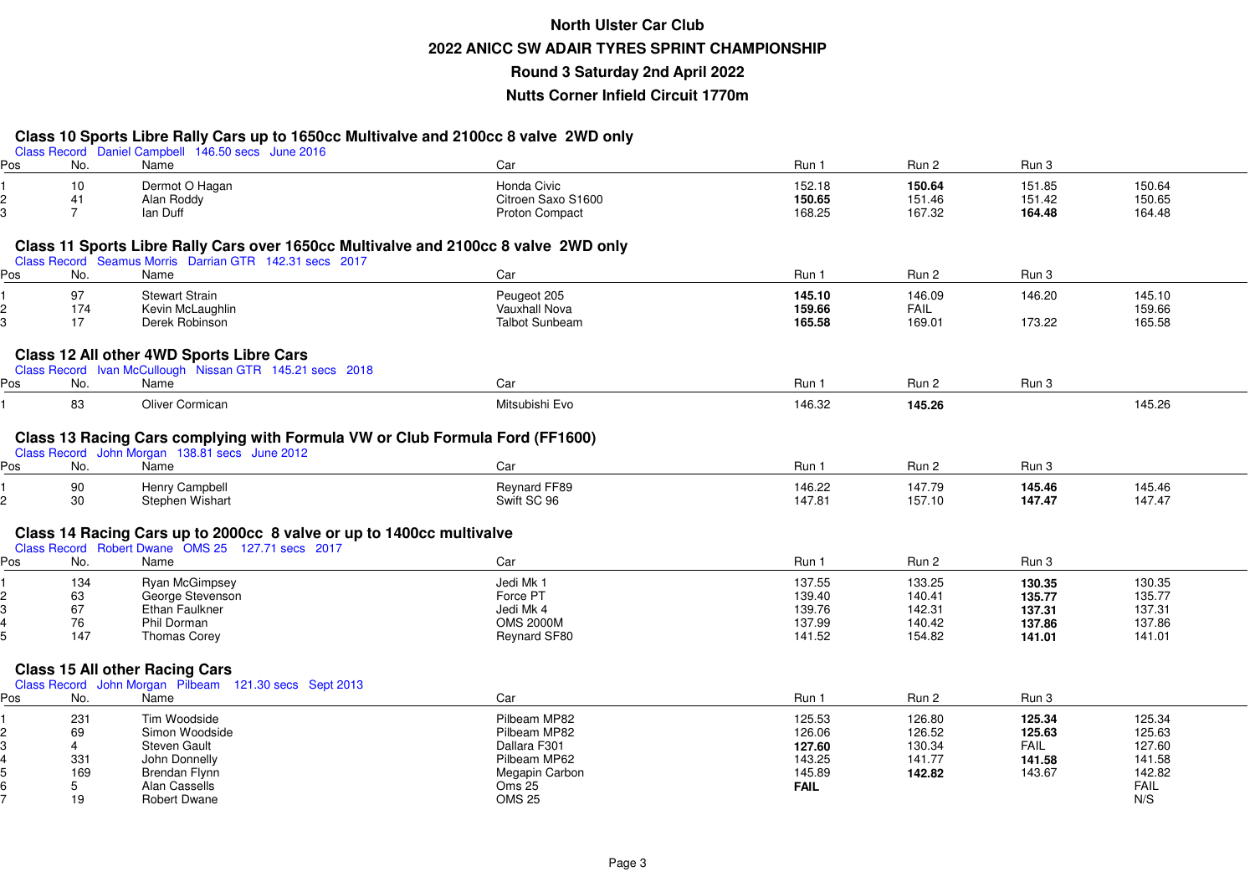#### **Class 10 Sports Libre Rally Cars up to 1650cc Multivalve and 2100cc 8 valve 2WD only**

|     |                | $\sim$ . $\sim$ $\sim$ . $\sim$ . $\sim$ . $\sim$ . $\sim$ . $\sim$<br>Class Record Daniel Campbell 146.50 secs June 2016 |                       |             |             |             |        |  |
|-----|----------------|---------------------------------------------------------------------------------------------------------------------------|-----------------------|-------------|-------------|-------------|--------|--|
| Pos | No.            | Name                                                                                                                      | Car                   | Run 1       | Run 2       | Run 3       |        |  |
|     | 10             | Dermot O Hagan                                                                                                            | Honda Civic           | 152.18      | 150.64      | 151.85      | 150.64 |  |
|     | 41             | Alan Roddy                                                                                                                | Citroen Saxo S1600    | 150.65      | 151.46      | 151.42      | 150.65 |  |
|     | $\overline{7}$ | lan Duff                                                                                                                  | Proton Compact        | 168.25      | 167.32      | 164.48      | 164.48 |  |
|     |                |                                                                                                                           |                       |             |             |             |        |  |
|     |                | Class 11 Sports Libre Rally Cars over 1650cc Multivalve and 2100cc 8 valve 2WD only                                       |                       |             |             |             |        |  |
|     |                | Class Record Seamus Morris Darrian GTR 142.31 secs 2017                                                                   |                       |             |             |             |        |  |
| Pos | No.            | Name                                                                                                                      | Car                   | Run 1       | Run 2       | Run 3       |        |  |
|     | 97             | <b>Stewart Strain</b>                                                                                                     | Peugeot 205           | 145.10      | 146.09      | 146.20      | 145.10 |  |
|     | 174            | Kevin McLaughlin                                                                                                          | Vauxhall Nova         | 159.66      | <b>FAIL</b> |             | 159.66 |  |
| 3.  | 17             | Derek Robinson                                                                                                            | <b>Talbot Sunbeam</b> | 165.58      | 169.01      | 173.22      | 165.58 |  |
|     |                |                                                                                                                           |                       |             |             |             |        |  |
|     |                | Class 12 All other 4WD Sports Libre Cars<br>Class Record Ivan McCullough Nissan GTR 145.21 secs 2018                      |                       |             |             |             |        |  |
| Pos | No.            | Name                                                                                                                      | Car                   | Run 1       | Run 2       | Run 3       |        |  |
|     | 83             | Oliver Cormican                                                                                                           | Mitsubishi Evo        | 146.32      | 145.26      |             | 145.26 |  |
|     |                |                                                                                                                           |                       |             |             |             |        |  |
|     |                | Class 13 Racing Cars complying with Formula VW or Club Formula Ford (FF1600)                                              |                       |             |             |             |        |  |
|     |                | Class Record John Morgan 138.81 secs June 2012                                                                            |                       |             |             |             |        |  |
| Pos | No.            | Name                                                                                                                      | Car                   | Run 1       | Run 2       | Run 3       |        |  |
|     | 90             | Henry Campbell                                                                                                            | Reynard FF89          | 146.22      | 147.79      | 145.46      | 145.46 |  |
|     | 30             | Stephen Wishart                                                                                                           | Swift SC 96           | 147.81      | 157.10      | 147.47      | 147.47 |  |
|     |                |                                                                                                                           |                       |             |             |             |        |  |
|     |                | Class 14 Racing Cars up to 2000cc 8 valve or up to 1400cc multivalve                                                      |                       |             |             |             |        |  |
|     |                | Class Record Robert Dwane OMS 25 127.71 secs 2017                                                                         |                       |             |             |             |        |  |
| Pos | No.            | Name                                                                                                                      | Car                   | Run 1       | Run 2       | Run 3       |        |  |
|     | 134            | Ryan McGimpsey                                                                                                            | Jedi Mk 1             | 137.55      | 133.25      | 130.35      | 130.35 |  |
|     | 63             | George Stevenson                                                                                                          | Force PT              | 139.40      | 140.41      | 135.77      | 135.77 |  |
|     | 67             | Ethan Faulkner                                                                                                            | Jedi Mk 4             | 139.76      | 142.31      | 137.31      | 137.31 |  |
|     | 76             | Phil Dorman                                                                                                               | <b>OMS 2000M</b>      | 137.99      | 140.42      | 137.86      | 137.86 |  |
|     | 147            | <b>Thomas Corey</b>                                                                                                       | Reynard SF80          | 141.52      | 154.82      | 141.01      | 141.01 |  |
|     |                | <b>Class 15 All other Racing Cars</b>                                                                                     |                       |             |             |             |        |  |
|     |                | Class Record John Morgan Pilbeam 121.30 secs Sept 2013                                                                    |                       |             |             |             |        |  |
| Pos | No.            | Name                                                                                                                      | Car                   | Run 1       | Run 2       | Run 3       |        |  |
|     | 231            | Tim Woodside                                                                                                              | Pilbeam MP82          | 125.53      | 126.80      | 125.34      | 125.34 |  |
|     | 69             | Simon Woodside                                                                                                            | Pilbeam MP82          | 126.06      | 126.52      | 125.63      | 125.63 |  |
|     | 4              | <b>Steven Gault</b>                                                                                                       | Dallara F301          | 127.60      | 130.34      | <b>FAIL</b> | 127.60 |  |
|     | 331            | John Donnelly                                                                                                             | Pilbeam MP62          | 143.25      | 141.77      | 141.58      | 141.58 |  |
|     | 169            | Brendan Flynn                                                                                                             | Megapin Carbon        | 145.89      | 142.82      | 143.67      | 142.82 |  |
|     | 5              | Alan Cassells                                                                                                             | Oms 25                | <b>FAIL</b> |             |             | FAIL   |  |
|     | 19             | <b>Robert Dwane</b>                                                                                                       | <b>OMS 25</b>         |             |             |             | N/S    |  |
|     |                |                                                                                                                           |                       |             |             |             |        |  |